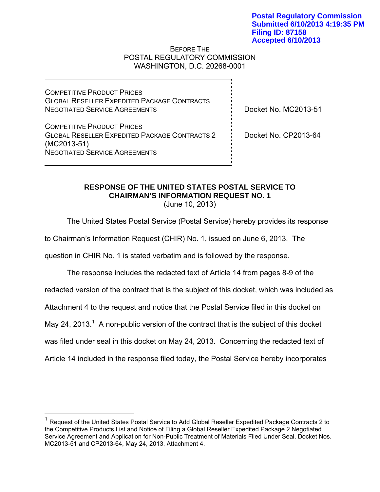#### BEFORE THE POSTAL REGULATORY COMMISSION WASHINGTON, D.C. 20268-0001

COMPETITIVE PRODUCT PRICES GLOBAL RESELLER EXPEDITED PACKAGE CONTRACTS NEGOTIATED SERVICE AGREEMENTS

COMPETITIVE PRODUCT PRICES GLOBAL RESELLER EXPEDITED PACKAGE CONTRACTS 2 (MC2013-51) NEGOTIATED SERVICE AGREEMENTS

 $\overline{a}$ 

Docket No. MC2013-51

Docket No. CP2013-64

# **RESPONSE OF THE UNITED STATES POSTAL SERVICE TO CHAIRMAN'S INFORMATION REQUEST NO. 1**

(June 10, 2013)

The United States Postal Service (Postal Service) hereby provides its response

to Chairman's Information Request (CHIR) No. 1, issued on June 6, 2013. The

question in CHIR No. 1 is stated verbatim and is followed by the response.

The response includes the redacted text of Article 14 from pages 8-9 of the redacted version of the contract that is the subject of this docket, which was included as Attachment 4 to the request and notice that the Postal Service filed in this docket on May 24, 2013.<sup>1</sup> A non-public version of the contract that is the subject of this docket was filed under seal in this docket on May 24, 2013. Concerning the redacted text of Article 14 included in the response filed today, the Postal Service hereby incorporates

 $1$  Request of the United States Postal Service to Add Global Reseller Expedited Package Contracts 2 to the Competitive Products List and Notice of Filing a Global Reseller Expedited Package 2 Negotiated Service Agreement and Application for Non-Public Treatment of Materials Filed Under Seal, Docket Nos. MC2013-51 and CP2013-64, May 24, 2013, Attachment 4.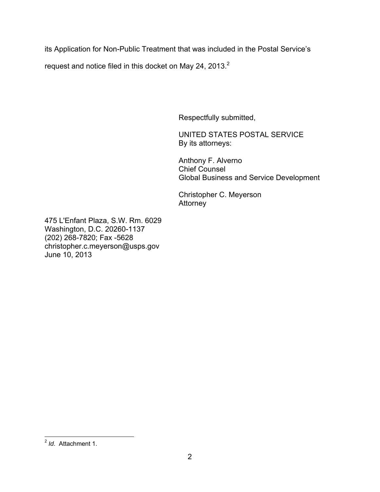its Application for Non-Public Treatment that was included in the Postal Service's

request and notice filed in this docket on May 24, 2013.<sup>2</sup>

Respectfully submitted,

UNITED STATES POSTAL SERVICE By its attorneys:

Anthony F. Alverno Chief Counsel Global Business and Service Development

Christopher C. Meyerson Attorney

475 L'Enfant Plaza, S.W. Rm. 6029 Washington, D.C. 20260-1137 (202) 268-7820; Fax -5628 christopher.c.meyerson@usps.gov June 10, 2013

 $\overline{a}$ <sup>2</sup> *Id*. Attachment 1.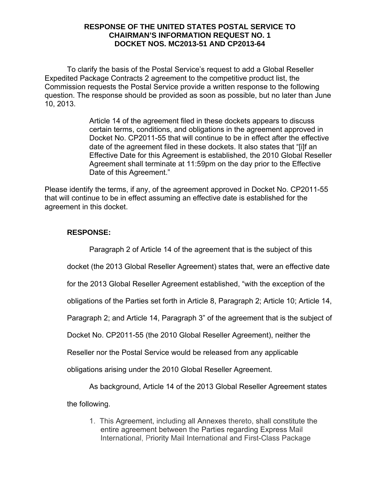To clarify the basis of the Postal Service's request to add a Global Reseller Expedited Package Contracts 2 agreement to the competitive product list, the Commission requests the Postal Service provide a written response to the following question. The response should be provided as soon as possible, but no later than June 10, 2013.

> Article 14 of the agreement filed in these dockets appears to discuss certain terms, conditions, and obligations in the agreement approved in Docket No. CP2011-55 that will continue to be in effect after the effective date of the agreement filed in these dockets. It also states that "[i]f an Effective Date for this Agreement is established, the 2010 Global Reseller Agreement shall terminate at 11:59pm on the day prior to the Effective Date of this Agreement."

Please identify the terms, if any, of the agreement approved in Docket No. CP2011-55 that will continue to be in effect assuming an effective date is established for the agreement in this docket.

## **RESPONSE:**

Paragraph 2 of Article 14 of the agreement that is the subject of this

docket (the 2013 Global Reseller Agreement) states that, were an effective date

for the 2013 Global Reseller Agreement established, "with the exception of the

obligations of the Parties set forth in Article 8, Paragraph 2; Article 10; Article 14,

Paragraph 2; and Article 14, Paragraph 3" of the agreement that is the subject of

Docket No. CP2011-55 (the 2010 Global Reseller Agreement), neither the

Reseller nor the Postal Service would be released from any applicable

obligations arising under the 2010 Global Reseller Agreement.

As background, Article 14 of the 2013 Global Reseller Agreement states

the following.

1. This Agreement, including all Annexes thereto, shall constitute the entire agreement between the Parties regarding Express Mail International, Priority Mail International and First-Class Package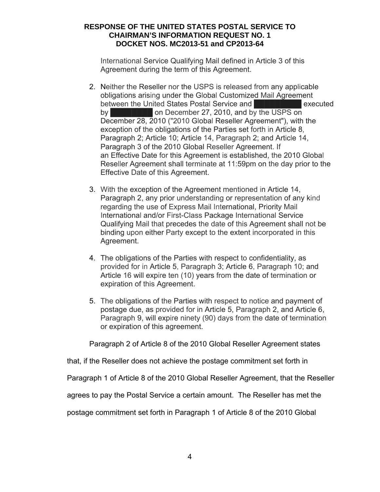International Service Qualifying Mail defined in Article 3 of this Agreement during the term of this Agreement.

- 2. Neither the Reseller nor the USPS is released from any applicable obligations arising under the Global Customized Mail Agreement between the United States Postal Service and **ENEZIE EXECUTED** executed by **EXECUTE 1.1 ON December 27, 2010, and by the USPS on** December 28, 2010 ("2010 Global Reseller Agreement"), with the exception of the obligations of the Parties set forth in Article 8, Paragraph 2; Article 10; Article 14, Paragraph 2; and Article 14, Paragraph 3 of the 2010 Global Reseller Agreement. If an Effective Date for this Agreement is established, the 2010 Global Reseller Agreement shall terminate at 11:59pm on the day prior to the Effective Date of this Agreement.
- 3. With the exception of the Agreement mentioned in Article 14, Paragraph 2, any prior understanding or representation of any kind regarding the use of Express Mail International, Priority Mail International and/or First-Class Package International Service Qualifying Mail that precedes the date of this Agreement shall not be binding upon either Party except to the extent incorporated in this Agreement.
- 4. The obligations of the Parties with respect to confidentiality, as provided for in Article 5, Paragraph 3; Article 6, Paragraph 10; and Article 16 will expire ten (10) years from the date of termination or expiration of this Agreement.
- 5. The obligations of the Parties with respect to notice and payment of postage due, as provided for in Article 5, Paragraph 2, and Article 6, Paragraph 9, will expire ninety (90) days from the date of termination or expiration of this agreement.

Paragraph 2 of Article 8 of the 2010 Global Reseller Agreement states

that, if the Reseller does not achieve the postage commitment set forth in

Paragraph 1 of Article 8 of the 2010 Global Reseller Agreement, that the Reseller

agrees to pay the Postal Service a certain amount. The Reseller has met the

postage commitment set forth in Paragraph 1 of Article 8 of the 2010 Global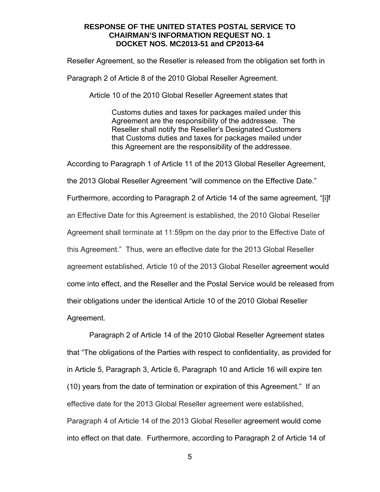Reseller Agreement, so the Reseller is released from the obligation set forth in

Paragraph 2 of Article 8 of the 2010 Global Reseller Agreement.

Article 10 of the 2010 Global Reseller Agreement states that

Customs duties and taxes for packages mailed under this Agreement are the responsibility of the addressee. The Reseller shall notify the Reseller's Designated Customers that Customs duties and taxes for packages mailed under this Agreement are the responsibility of the addressee.

According to Paragraph 1 of Article 11 of the 2013 Global Reseller Agreement, the 2013 Global Reseller Agreement "will commence on the Effective Date." Furthermore, according to Paragraph 2 of Article 14 of the same agreement, "[i]f an Effective Date for this Agreement is established, the 2010 Global Reseller Agreement shall terminate at 11:59pm on the day prior to the Effective Date of this Agreement." Thus, were an effective date for the 2013 Global Reseller agreement established, Article 10 of the 2013 Global Reseller agreement would come into effect, and the Reseller and the Postal Service would be released from their obligations under the identical Article 10 of the 2010 Global Reseller Agreement.

Paragraph 2 of Article 14 of the 2010 Global Reseller Agreement states that "The obligations of the Parties with respect to confidentiality, as provided for in Article 5, Paragraph 3, Article 6, Paragraph 10 and Article 16 will expire ten (10) years from the date of termination or expiration of this Agreement." If an effective date for the 2013 Global Reseller agreement were established, Paragraph 4 of Article 14 of the 2013 Global Reseller agreement would come into effect on that date. Furthermore, according to Paragraph 2 of Article 14 of

5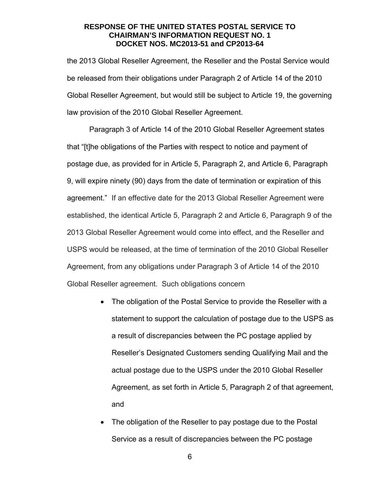the 2013 Global Reseller Agreement, the Reseller and the Postal Service would be released from their obligations under Paragraph 2 of Article 14 of the 2010 Global Reseller Agreement, but would still be subject to Article 19, the governing law provision of the 2010 Global Reseller Agreement.

Paragraph 3 of Article 14 of the 2010 Global Reseller Agreement states that "[t]he obligations of the Parties with respect to notice and payment of postage due, as provided for in Article 5, Paragraph 2, and Article 6, Paragraph 9, will expire ninety (90) days from the date of termination or expiration of this agreement." If an effective date for the 2013 Global Reseller Agreement were established, the identical Article 5, Paragraph 2 and Article 6, Paragraph 9 of the 2013 Global Reseller Agreement would come into effect, and the Reseller and USPS would be released, at the time of termination of the 2010 Global Reseller Agreement, from any obligations under Paragraph 3 of Article 14 of the 2010 Global Reseller agreement. Such obligations concern

- The obligation of the Postal Service to provide the Reseller with a statement to support the calculation of postage due to the USPS as a result of discrepancies between the PC postage applied by Reseller's Designated Customers sending Qualifying Mail and the actual postage due to the USPS under the 2010 Global Reseller Agreement, as set forth in Article 5, Paragraph 2 of that agreement, and
- The obligation of the Reseller to pay postage due to the Postal Service as a result of discrepancies between the PC postage

6